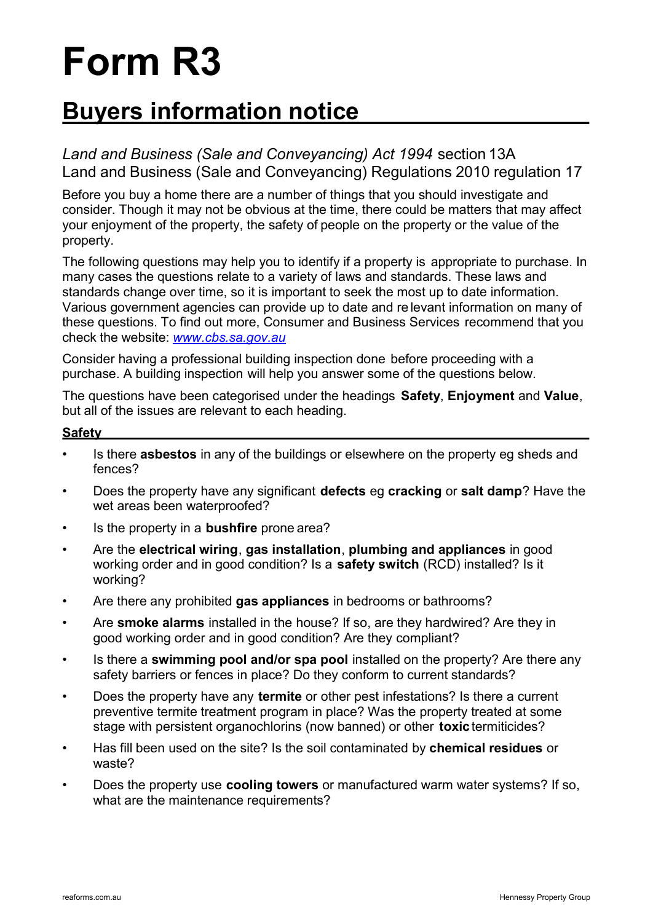# **Form R3**

## **Buyers information notice**

*Land and Business (Sale and Conveyancing) Act 1994* section 13A Land and Business (Sale and Conveyancing) Regulations 2010 regulation 17

Before you buy a home there are a number of things that you should investigate and consider. Though it may not be obvious at the time, there could be matters that may affect your enjoyment of the property, the safety of people on the property or the value of the property.

The following questions may help you to identify if a property is appropriate to purchase. In many cases the questions relate to a variety of laws and standards. These laws and standards change over time, so it is important to seek the most up to date information. Various government agencies can provide up to date and re levant information on many of these questions. To find out more, Consumer and Business Services recommend that you check the website: *www.cbs.sa.gov.au*

Consider having a professional building inspection done before proceeding with a purchase. A building inspection will help you answer some of the questions below.

The questions have been categorised under the headings **Safety**, **Enjoyment** and **Value**, but all of the issues are relevant to each heading.

#### **Safety**

- Is there **asbestos** in any of the buildings or elsewhere on the property eg sheds and fences?
- Does the property have any significant **defects** eg **cracking** or **salt damp**? Have the wet areas been waterproofed?
- Is the property in a **bushfire** prone area?
- Are the **electrical wiring**, **gas installation**, **plumbing and appliances** in good working order and in good condition? Is a **safety switch** (RCD) installed? Is it working?
- Are there any prohibited **gas appliances** in bedrooms or bathrooms?
- Are **smoke alarms** installed in the house? If so, are they hardwired? Are they in good working order and in good condition? Are they compliant?
- Is there a **swimming pool and/or spa pool** installed on the property? Are there any safety barriers or fences in place? Do they conform to current standards?
- Does the property have any **termite** or other pest infestations? Is there a current preventive termite treatment program in place? Was the property treated at some stage with persistent organochlorins (now banned) or other **toxic**termiticides?
- Has fill been used on the site? Is the soil contaminated by **chemical residues** or waste?
- Does the property use **cooling towers** or manufactured warm water systems? If so, what are the maintenance requirements?